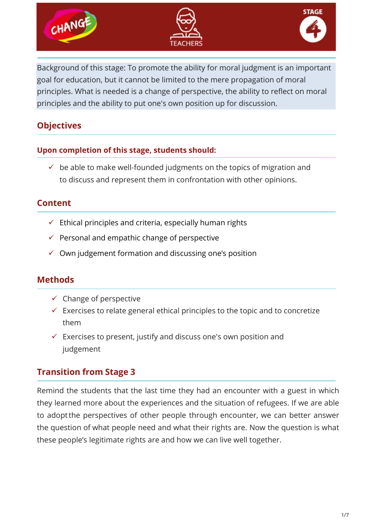

Background of this stage: To promote the ability for moral judgment is an important goal for education, but it cannot be limited to the mere propagation of moral principles. What is needed is a change of perspective, the ability to reflect on moral principles and the ability to put one's own position up for discussion.

# **Objectives**

#### **Upon completion of this stage, students should:**

 $\checkmark$  be able to make well-founded judgments on the topics of migration and to discuss and represent them in confrontation with other opinions.

## **Content**

- $\checkmark$  Ethical principles and criteria, especially human rights
- $\checkmark$  Personal and empathic change of perspective
- $\checkmark$  Own judgement formation and discussing one's position

# **Methods**

- $\checkmark$  Change of perspective
- $\checkmark$  Exercises to relate general ethical principles to the topic and to concretize them
- $\checkmark$  Exercises to present, justify and discuss one's own position and judgement

# **Transition from Stage 3**

Remind the students that the last time they had an encounter with a guest in which they learned more about the experiences and the situation of refugees. If we are able to adoptthe perspectives of other people through encounter, we can better answer the question of what people need and what their rights are. Now the question is what these people's legitimate rights are and how we can live well together.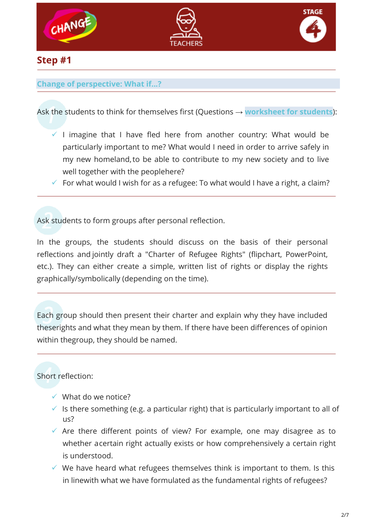





## **Step #1**

#### **Change of perspective: What if...?**

Ask the students to think for themselves first (Questions → **worksheet for students**):

- $\checkmark$  I imagine that I have fled here from another country: What would be particularly important to me? What would I need in order to arrive safely in my new homeland,to be able to contribute to my new society and to live well together with the peoplehere?
- $\checkmark$  For what would I wish for as a refugee: To what would I have a right, a claim?

Ask students to form groups after personal reflection.

In the groups, the students should discuss on the basis of their personal reflections and jointly draft a "Charter of Refugee Rights" (flipchart, PowerPoint, etc.). They can either create a simple, written list of rights or display the rights graphically/symbolically (depending on the time).

Each group should then present their charter and explain why they have included theserights and what they mean by them. If there have been differences of opinion within thegroup, they should be named.

Short reflection:

- $\checkmark$  What do we notice?
- $\checkmark$  Is there something (e.g. a particular right) that is particularly important to all of  $115$ ?
- $\checkmark$  Are there different points of view? For example, one may disagree as to whether acertain right actually exists or how comprehensively a certain right is understood.
- $\checkmark$  We have heard what refugees themselves think is important to them. Is this in linewith what we have formulated as the fundamental rights of refugees?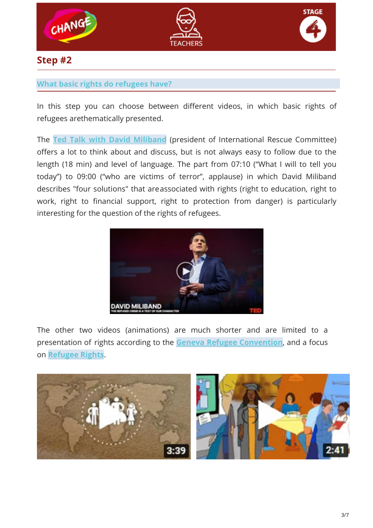





## **Step #2**

#### **What basic rights do refugees have?**

In this step you can choose between different videos, in which basic rights of refugees arethematically presented.

The **[Ted Talk with David Miliband](https://www.ted.com/talks/david_miliband_the_refugee_crisis_is_a_test_of_our_character)** (president of International Rescue Committee) offers a lot to think about and discuss, but is not always easy to follow due to the length (18 min) and level of language. The part from 07:10 ("What I will to tell you today") to 09:00 ("who are victims of terror", applause) in which David Miliband describes "four solutions" that areassociated with rights (right to education, right to work, right to financial support, right to protection from danger) is particularly interesting for the question of the rights of refugees.



The other two videos (animations) are much shorter and are limited to a presentation of rights according to the **[Geneva Refugee Convention](https://www.youtube.com/watch?v=i5fnRd2_gB4)**, and a focus on **[Refugee Rights](https://www.youtube.com/watch?v=qpOEaBwFuj0)**.

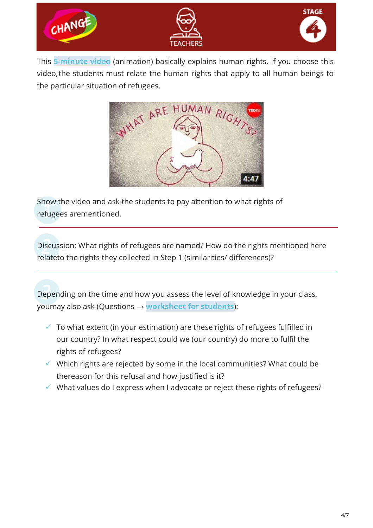

This **[5-minute video](https://www.youtube.com/watch?v=nDgIVseTkuE)** (animation) basically explains human rights. If you choose this video,the students must relate the human rights that apply to all human beings to the particular situation of refugees.



Show the video and ask the students to pay attention to what rights of refugees arementioned.

Discussion: What rights of refugees are named? How do the rights mentioned here relateto the rights they collected in Step 1 (similarities/ differences)?

Depending on the time and how you assess the level of knowledge in your class, youmay also ask (Questions → **worksheet for students**):

- $\checkmark$  To what extent (in your estimation) are these rights of refugees fulfilled in our country? In what respect could we (our country) do more to fulfil the rights of refugees?
- $\checkmark$  Which rights are rejected by some in the local communities? What could be thereason for this refusal and how justified is it?
- $\checkmark$  What values do I express when I advocate or reject these rights of refugees?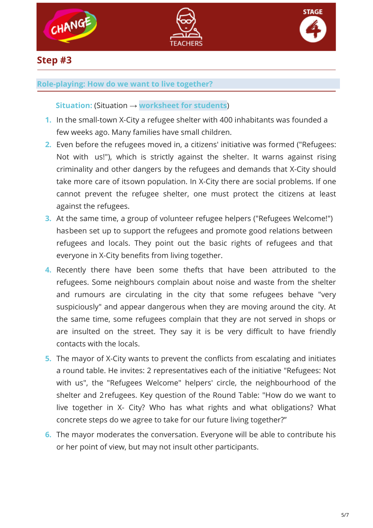





### **Step #3**

#### **Role-playing: How do we want to live together?**

**Situation:** (Situation → **worksheet for students**)

- **1.** In the small-town X-City a refugee shelter with 400 inhabitants was founded a few weeks ago. Many families have small children.
- **2.** Even before the refugees moved in, a citizens' initiative was formed ("Refugees: Not with us!"), which is strictly against the shelter. It warns against rising criminality and other dangers by the refugees and demands that X-City should take more care of itsown population. In X-City there are social problems. If one cannot prevent the refugee shelter, one must protect the citizens at least against the refugees.
- **3.** At the same time, a group of volunteer refugee helpers ("Refugees Welcome!") hasbeen set up to support the refugees and promote good relations between refugees and locals. They point out the basic rights of refugees and that everyone in X-City benefits from living together.
- **4.** Recently there have been some thefts that have been attributed to the refugees. Some neighbours complain about noise and waste from the shelter and rumours are circulating in the city that some refugees behave "very suspiciously" and appear dangerous when they are moving around the city. At the same time, some refugees complain that they are not served in shops or are insulted on the street. They say it is be very difficult to have friendly contacts with the locals.
- **5.** The mayor of X-City wants to prevent the conflicts from escalating and initiates a round table. He invites: 2 representatives each of the initiative "Refugees: Not with us", the "Refugees Welcome" helpers' circle, the neighbourhood of the shelter and 2refugees. Key question of the Round Table: "How do we want to live together in X- City? Who has what rights and what obligations? What concrete steps do we agree to take for our future living together?"
- **6.** The mayor moderates the conversation. Everyone will be able to contribute his or her point of view, but may not insult other participants.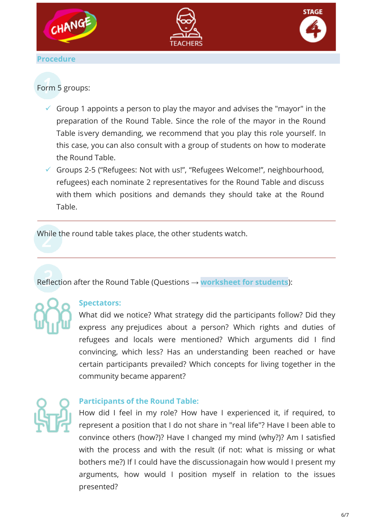

## Form 5 groups:

- $\checkmark$  Group 1 appoints a person to play the mayor and advises the "mayor" in the preparation of the Round Table. Since the role of the mayor in the Round Table isvery demanding, we recommend that you play this role yourself. In this case, you can also consult with a group of students on how to moderate the Round Table.
- Groups 2-5 ("Refugees: Not with us!", "Refugees Welcome!", neighbourhood, refugees) each nominate 2 representatives for the Round Table and discuss with them which positions and demands they should take at the Round Table.

While the round table takes place, the other students watch.

Reflection after the Round Table (Questions → **worksheet for students**):



#### **Spectators:**

What did we notice? What strategy did the participants follow? Did they express any prejudices about a person? Which rights and duties of refugees and locals were mentioned? Which arguments did I find convincing, which less? Has an understanding been reached or have certain participants prevailed? Which concepts for living together in the community became apparent?



#### **Participants of the Round Table:**

How did I feel in my role? How have I experienced it, if required, to represent a position that I do not share in "real life"? Have I been able to convince others (how?)? Have I changed my mind (why?)? Am I satisfied with the process and with the result (if not: what is missing or what bothers me?) If I could have the discussionagain how would I present my arguments, how would I position myself in relation to the issues presented?